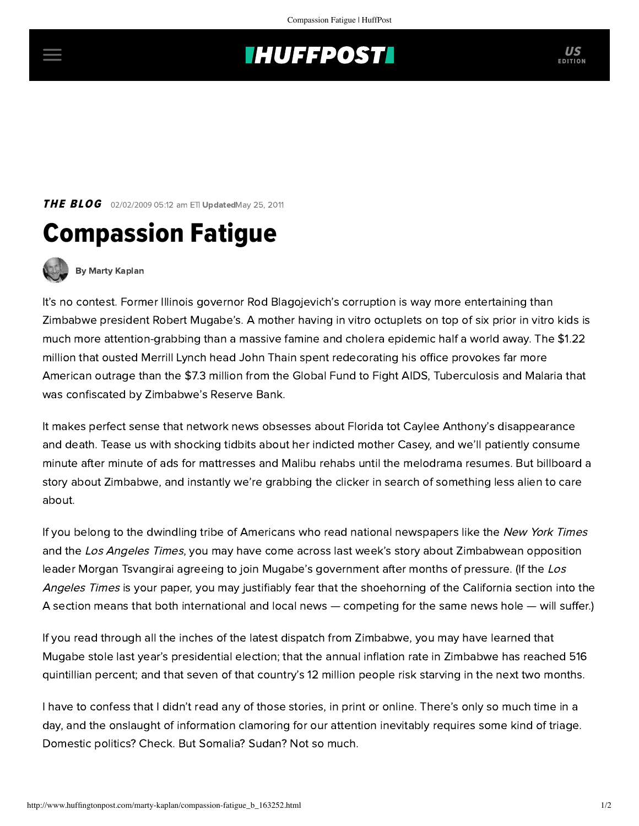## **THUFFPOST**

**THE BLOG** 02/02/2009 05:12 am ETI UpdatedMay 25, 2011





[By Marty Kaplan](http://www.huffingtonpost.com/author/marty-kaplan)

It's no contest. Former Illinois governor Rod Blagojevich's corruption is way more entertaining than Zimbabwe president Robert Mugabe's. A mother having in vitro octuplets on top of six prior in vitro kids is much more attention-grabbing than a massive famine and cholera epidemic half a world away. The \$1.22 million that ousted Merrill Lynch head John Thain spent redecorating his office provokes far more American outrage than the \$7.3 million from the Global Fund to Fight AIDS, Tuberculosis and Malaria that was confiscated by Zimbabwe's Reserve Bank.

It makes perfect sense that network news obsesses about Florida tot Caylee Anthony's disappearance and death. Tease us with shocking tidbits about her indicted mother Casey, and we'll patiently consume minute after minute of ads for mattresses and Malibu rehabs until the melodrama resumes. But billboard a story about Zimbabwe, and instantly we're grabbing the clicker in search of something less alien to care about.

If you belong to the dwindling tribe of Americans who read national newspapers like the New York Times and the Los Angeles Times, you may have come across [last week's story](http://articles.latimes.com/2009/01/31/news/fg-zimbabwe-opposition31) about Zimbabwean opposition leader Morgan Tsvangirai agreeing to join Mugabe's government after months of pressure. (If the Los Angeles Times is your paper, you may justifiably fear that the shoehorning of the California section into the A section means that both international and local news — competing for the same news hole — will suffer.)

If you read through all the inches of the latest dispatch from Zimbabwe, you may have learned that Mugabe stole last year's presidential election; that the annual inflation rate in Zimbabwe has reached 516 quintillian percent; and that seven of that country's 12 million people risk starving in the next two months.

I have to confess that I didn't read any of those stories, in print or online. There's only so much time in a day, and the onslaught of information clamoring for our attention inevitably requires some kind of triage. Domestic politics? Check. But Somalia? Sudan? Not so much.